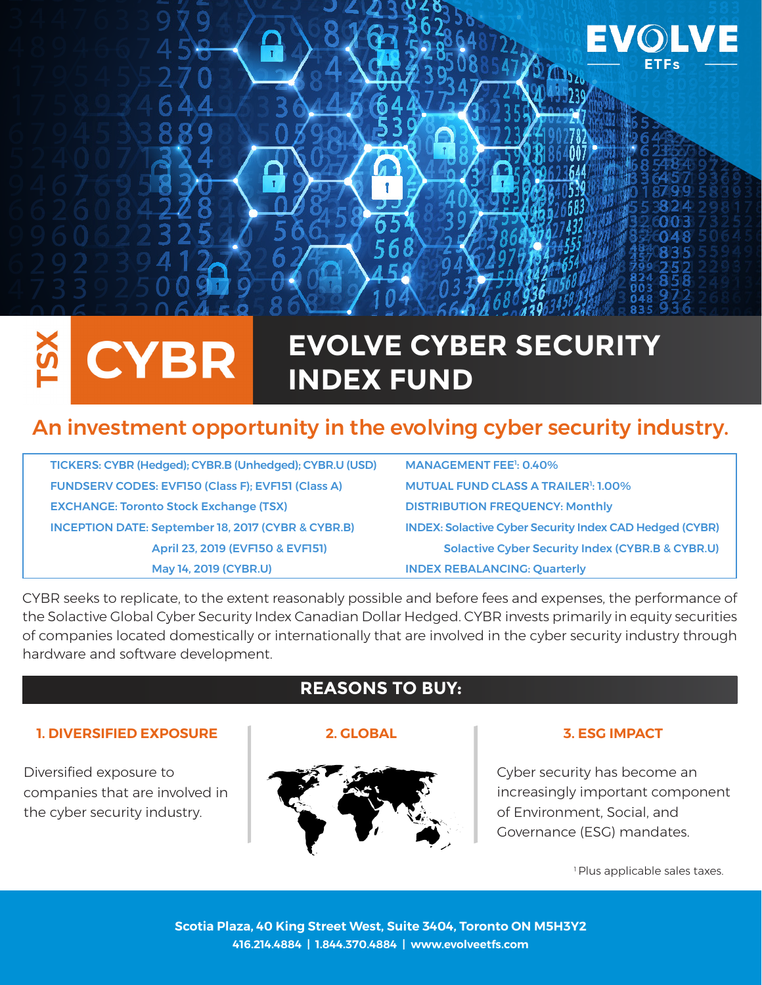

# **CYBR**

# **EVOLVE CYBER SECURITY INDEX FUND**

# An investment opportunity in the evolving cyber security industry.

TICKERS: CYBR (Hedged); CYBR.B (Unhedged); CYBR.U (USD) FUNDSERV CODES: EVF150 (Class F); EVF151 (Class A) **EXCHANGE: Toronto Stock Exchange (TSX)** INCEPTION DATE: September 18, 2017 (CYBR & CYBR.B) April 23, 2019 (EVF150 & EVF151) May 14, 2019 (CYBR.U) INDEX REBALANCING: Quarterly

| <b>MANAGEMENT FEE<sup>1</sup>: 0.40%</b>                       |  |
|----------------------------------------------------------------|--|
| <b>MUTUAL FUND CLASS A TRAILER<sup>1</sup>: 1.00%</b>          |  |
| <b>DISTRIBUTION FREQUENCY: Monthly</b>                         |  |
| <b>INDEX: Solactive Cyber Security Index CAD Hedged (CYBR)</b> |  |
| <b>Solactive Cyber Security Index (CYBR.B &amp; CYBR.U)</b>    |  |
| INDEY DERAL ANCINC, Quarterly                                  |  |

CYBR seeks to replicate, to the extent reasonably possible and before fees and expenses, the performance of the Solactive Global Cyber Security Index Canadian Dollar Hedged. CYBR invests primarily in equity securities of companies located domestically or internationally that are involved in the cyber security industry through hardware and software development.

### **1. DIVERSIFIED EXPOSURE 2. GLOBAL 3. ESG IMPACT**

Diversified exposure to companies that are involved in the cyber security industry.

# **REASONS TO BUY:**



Cyber security has become an increasingly important component of Environment, Social, and Governance (ESG) mandates.

<sup>1</sup> Plus applicable sales taxes.

**Scotia Plaza, 40 King Street West, Suite 3404, Toronto ON M5H3Y2 416.214.4884 | 1.844.370.4884 | www.evolveetfs.com**